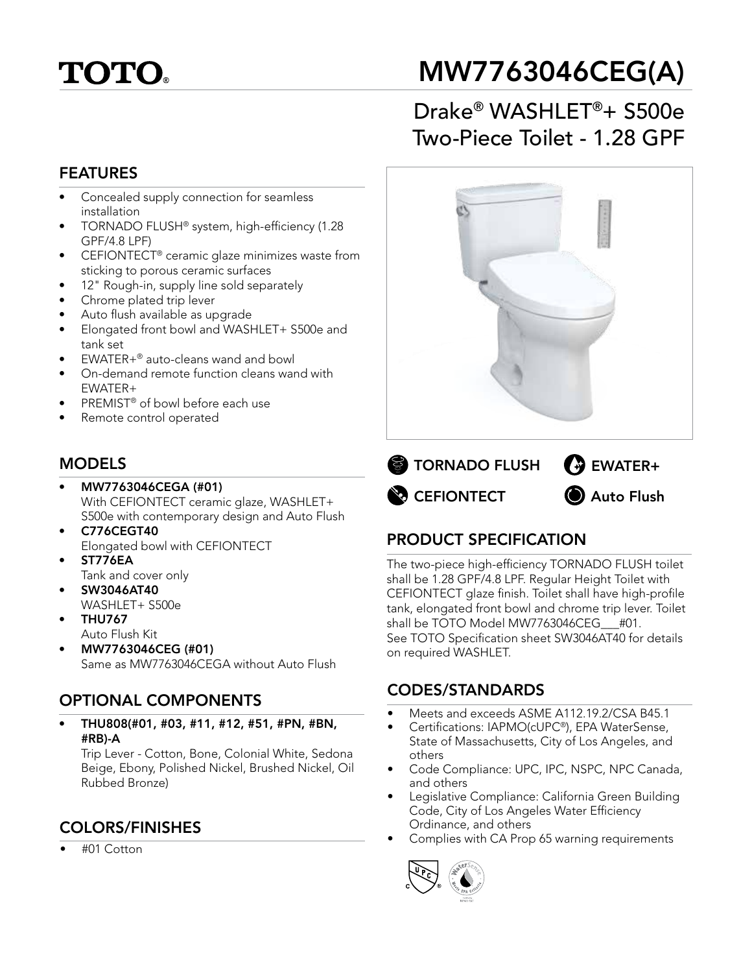# **TOTO**

## MW7763046CEG(A)

## Drake® WASHLET®+ S500e Two-Piece Toilet - 1.28 GPF

#### FEATURES

- Concealed supply connection for seamless installation
- TORNADO FLUSH® system, high-efficiency (1.28 GPF/4.8 LPF)
- CEFIONTECT® ceramic glaze minimizes waste from sticking to porous ceramic surfaces
- 12" Rough-in, supply line sold separately
- Chrome plated trip lever
- Auto flush available as upgrade
- Elongated front bowl and WASHLET+ S500e and tank set
- EWATER+® auto-cleans wand and bowl
- On-demand remote function cleans wand with EWATER+
- PREMIST® of bowl before each use
- Remote control operated

## **MODELS**

- MW7763046CEGA (#01) With CEFIONTECT ceramic glaze, WASHLET+ S500e with contemporary design and Auto Flush
- C776CEGT40 Elongated bowl with CEFIONTECT
- ST776EA Tank and cover only • SW3046AT40
- WASHLET+ S500e
- THU767
	- Auto Flush Kit
- MW7763046CEG (#01) Same as MW7763046CEGA without Auto Flush

## OPTIONAL COMPONENTS

• THU808(#01, #03, #11, #12, #51, #PN, #BN, #RB)-A

Trip Lever - Cotton, Bone, Colonial White, Sedona Beige, Ebony, Polished Nickel, Brushed Nickel, Oil Rubbed Bronze)

## COLORS/FINISHES

• #01 Cotton





## PRODUCT SPECIFICATION

The two-piece high-efficiency TORNADO FLUSH toilet shall be 1.28 GPF/4.8 LPF. Regular Height Toilet with CEFIONTECT glaze finish. Toilet shall have high-profile tank, elongated front bowl and chrome trip lever. Toilet shall be TOTO Model MW7763046CEG #01. See TOTO Specification sheet SW3046AT40 for details on required WASHLET.

#### CODES/STANDARDS

- Meets and exceeds ASME A112.19.2/CSA B45.1
- Certifications: IAPMO(cUPC®), EPA WaterSense, State of Massachusetts, City of Los Angeles, and others
- Code Compliance: UPC, IPC, NSPC, NPC Canada, and others
- Legislative Compliance: California Green Building Code, City of Los Angeles Water Efficiency Ordinance, and others
- Complies with CA Prop 65 warning requirements